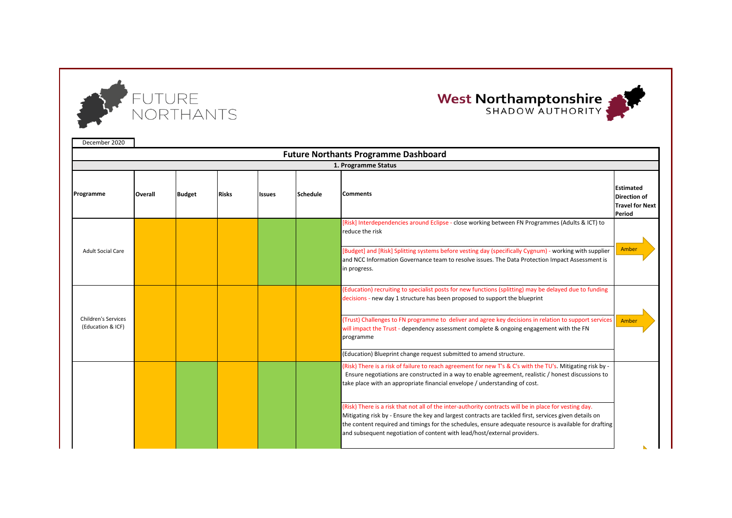

## West Northamptonshire

| December 2020                                   |                |               |              |               |                 |                                                                                                                                                                                                                                                                                                                                                                                                        |                                                                             |
|-------------------------------------------------|----------------|---------------|--------------|---------------|-----------------|--------------------------------------------------------------------------------------------------------------------------------------------------------------------------------------------------------------------------------------------------------------------------------------------------------------------------------------------------------------------------------------------------------|-----------------------------------------------------------------------------|
|                                                 |                |               |              |               |                 | <b>Future Northants Programme Dashboard</b>                                                                                                                                                                                                                                                                                                                                                            |                                                                             |
|                                                 |                |               |              |               |                 | 1. Programme Status                                                                                                                                                                                                                                                                                                                                                                                    |                                                                             |
| Programme                                       | <b>Overall</b> | <b>Budget</b> | <b>Risks</b> | <b>Issues</b> | <b>Schedule</b> | <b>Comments</b>                                                                                                                                                                                                                                                                                                                                                                                        | <b>Estimated</b><br><b>Direction of</b><br><b>Travel for Next</b><br>Period |
|                                                 |                |               |              |               |                 | [Risk] Interdependencies around Eclipse - close working between FN Programmes (Adults & ICT) to<br>reduce the risk                                                                                                                                                                                                                                                                                     |                                                                             |
| <b>Adult Social Care</b>                        |                |               |              |               |                 | [Budget] and [Risk] Splitting systems before vesting day (specifically Cygnum) - working with supplier<br>and NCC Information Governance team to resolve issues. The Data Protection Impact Assessment is<br>in progress.                                                                                                                                                                              | Amber                                                                       |
|                                                 |                |               |              |               |                 | (Education) recruiting to specialist posts for new functions (splitting) may be delayed due to funding<br>decisions - new day 1 structure has been proposed to support the blueprint                                                                                                                                                                                                                   |                                                                             |
| <b>Children's Services</b><br>(Education & ICF) |                |               |              |               |                 | (Trust) Challenges to FN programme to deliver and agree key decisions in relation to support services<br>will impact the Trust - dependency assessment complete & ongoing engagement with the FN<br>programme                                                                                                                                                                                          | Amber                                                                       |
|                                                 |                |               |              |               |                 | (Education) Blueprint change request submitted to amend structure.                                                                                                                                                                                                                                                                                                                                     |                                                                             |
|                                                 |                |               |              |               |                 | (Risk) There is a risk of failure to reach agreement for new T's & C's with the TU's. Mitigating risk by -<br>Ensure negotiations are constructed in a way to enable agreement, realistic / honest discussions to<br>take place with an appropriate financial envelope / understanding of cost.                                                                                                        |                                                                             |
|                                                 |                |               |              |               |                 | (Risk) There is a risk that not all of the inter-authority contracts will be in place for vesting day.<br>Mitigating risk by - Ensure the key and largest contracts are tackled first, services given details on<br>the content required and timings for the schedules, ensure adequate resource is available for drafting<br>and subsequent negotiation of content with lead/host/external providers. |                                                                             |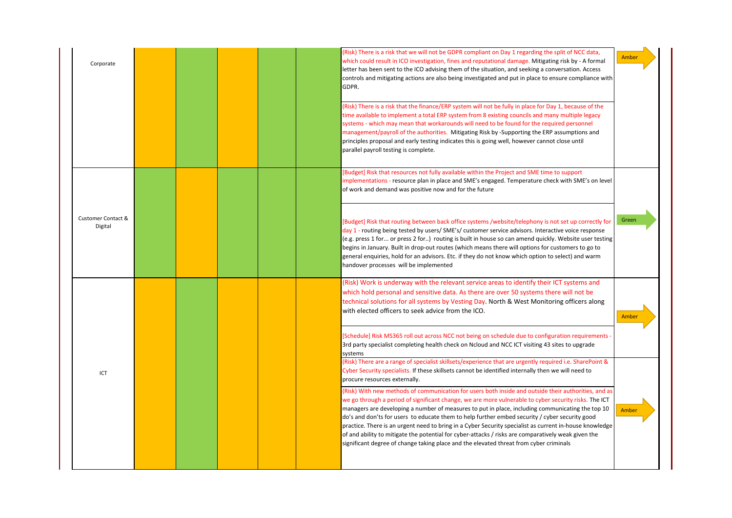| Corporate                     |  |  | (Risk) There is a risk that we will not be GDPR compliant on Day 1 regarding the split of NCC data,<br>which could result in ICO investigation, fines and reputational damage. Mitigating risk by - A formal<br>letter has been sent to the ICO advising them of the situation, and seeking a conversation. Access<br>controls and mitigating actions are also being investigated and put in place to ensure compliance with<br>GDPR.                                                                                                                                                                                                                                                                                           | Amber |
|-------------------------------|--|--|---------------------------------------------------------------------------------------------------------------------------------------------------------------------------------------------------------------------------------------------------------------------------------------------------------------------------------------------------------------------------------------------------------------------------------------------------------------------------------------------------------------------------------------------------------------------------------------------------------------------------------------------------------------------------------------------------------------------------------|-------|
|                               |  |  | (Risk) There is a risk that the finance/ERP system will not be fully in place for Day 1, because of the<br>time available to implement a total ERP system from 8 existing councils and many multiple legacy<br>systems - which may mean that workarounds will need to be found for the required personnel<br>management/payroll of the authorities. Mitigating Risk by -Supporting the ERP assumptions and<br>principles proposal and early testing indicates this is going well, however cannot close until<br>parallel payroll testing is complete.                                                                                                                                                                           |       |
|                               |  |  | [Budget] Risk that resources not fully available within the Project and SME time to support<br>implementations - resource plan in place and SME's engaged. Temperature check with SME's on level<br>of work and demand was positive now and for the future                                                                                                                                                                                                                                                                                                                                                                                                                                                                      |       |
| Customer Contact &<br>Digital |  |  | [Budget] Risk that routing between back office systems /website/telephony is not set up correctly for<br>day 1 - routing being tested by users/SME's/customer service advisors. Interactive voice response<br>(e.g. press 1 for or press 2 for) routing is built in house so can amend quickly. Website user testing<br>begins in January. Built in drop-out routes (which means there will options for customers to go to<br>general enquiries, hold for an advisors. Etc. if they do not know which option to select) and warm<br>handover processes will be implemented                                                                                                                                                      | Green |
|                               |  |  | (Risk) Work is underway with the relevant service areas to identify their ICT systems and<br>which hold personal and sensitive data. As there are over 50 systems there will not be<br>technical solutions for all systems by Vesting Day. North & West Monitoring officers along<br>with elected officers to seek advice from the ICO.                                                                                                                                                                                                                                                                                                                                                                                         | Amber |
|                               |  |  | [Schedule] Risk MS365 roll out across NCC not being on schedule due to configuration requirements<br>3rd party specialist completing health check on Ncloud and NCC ICT visiting 43 sites to upgrade<br>systems<br>(Risk) There are a range of specialist skillsets/experience that are urgently required i.e. SharePoint &                                                                                                                                                                                                                                                                                                                                                                                                     |       |
| ICT                           |  |  | Cyber Security specialists. If these skillsets cannot be identified internally then we will need to<br>procure resources externally.                                                                                                                                                                                                                                                                                                                                                                                                                                                                                                                                                                                            |       |
|                               |  |  | (Risk) With new methods of communication for users both inside and outside their authorities, and as<br>we go through a period of significant change, we are more vulnerable to cyber security risks. The ICT<br>managers are developing a number of measures to put in place, including communicating the top 10<br>do's and don'ts for users to educate them to help further embed security / cyber security good<br>practice. There is an urgent need to bring in a Cyber Security specialist as current in-house knowledge<br>of and ability to mitigate the potential for cyber-attacks / risks are comparatively weak given the<br>significant degree of change taking place and the elevated threat from cyber criminals | Amber |
|                               |  |  |                                                                                                                                                                                                                                                                                                                                                                                                                                                                                                                                                                                                                                                                                                                                 |       |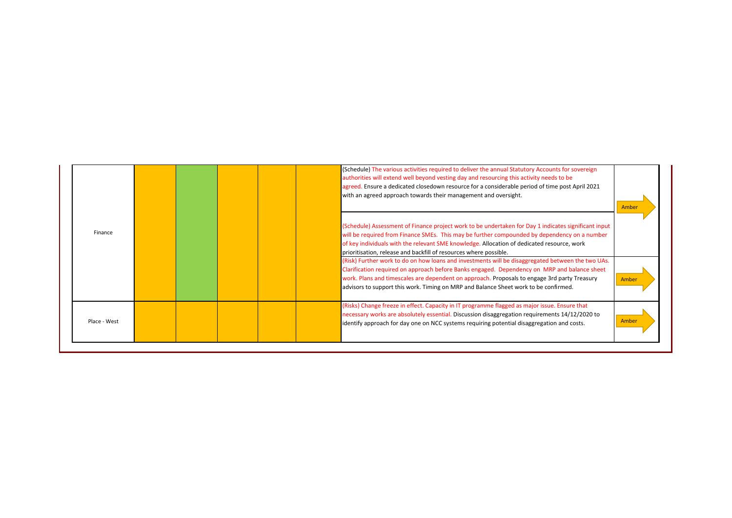|              | (Schedule) The various activities required to deliver the annual Statutory Accounts for sovereign<br>authorities will extend well beyond vesting day and resourcing this activity needs to be<br>agreed. Ensure a dedicated closedown resource for a considerable period of time post April 2021<br>with an agreed approach towards their management and oversight.                                                                                                                                                                                                                                                                                                                                                                                                  | Amber |
|--------------|----------------------------------------------------------------------------------------------------------------------------------------------------------------------------------------------------------------------------------------------------------------------------------------------------------------------------------------------------------------------------------------------------------------------------------------------------------------------------------------------------------------------------------------------------------------------------------------------------------------------------------------------------------------------------------------------------------------------------------------------------------------------|-------|
| Finance      | (Schedule) Assessment of Finance project work to be undertaken for Day 1 indicates significant input<br>will be required from Finance SMEs. This may be further compounded by dependency on a number<br>of key individuals with the relevant SME knowledge. Allocation of dedicated resource, work<br>prioritisation, release and backfill of resources where possible.<br>(Risk) Further work to do on how loans and investments will be disaggregated between the two UAs.<br>Clarification required on approach before Banks engaged. Dependency on MRP and balance sheet<br>work. Plans and timescales are dependent on approach. Proposals to engage 3rd party Treasury<br>advisors to support this work. Timing on MRP and Balance Sheet work to be confirmed. | Amber |
| Place - West | (Risks) Change freeze in effect. Capacity in IT programme flagged as major issue. Ensure that<br>necessary works are absolutely essential. Discussion disaggregation requirements 14/12/2020 to<br>identify approach for day one on NCC systems requiring potential disaggregation and costs.                                                                                                                                                                                                                                                                                                                                                                                                                                                                        | Amber |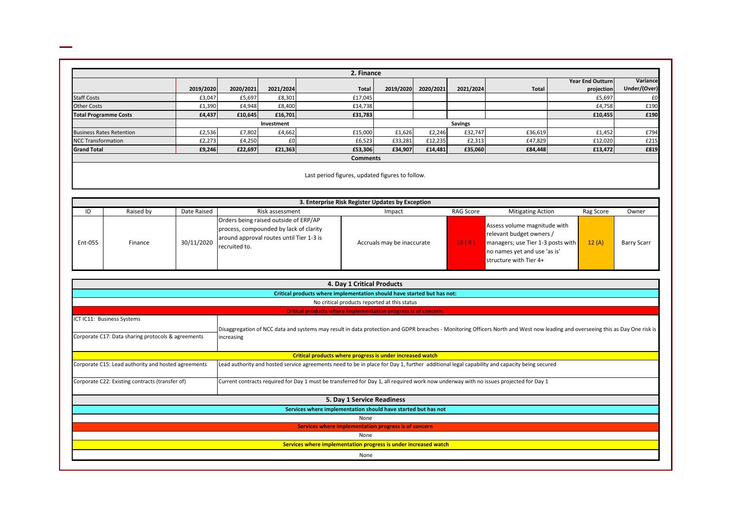|                                 |           |           |            | 2. Finance      |           |           |                |              |                         |              |
|---------------------------------|-----------|-----------|------------|-----------------|-----------|-----------|----------------|--------------|-------------------------|--------------|
|                                 |           |           |            |                 |           |           |                |              | <b>Year End Outturn</b> | Variance     |
|                                 | 2019/2020 | 2020/2021 | 2021/2024  | Total           | 2019/2020 | 2020/2021 | 2021/2024      | <b>Total</b> | projection              | Under/(Over) |
| <b>Staff Costs</b>              | £3,047    | £5,697    | £8,301     | £17,045         |           |           |                |              | £5,697                  | £0           |
| <b>Other Costs</b>              | £1,390    | £4,948    | £8,400     | £14,738         |           |           |                |              | £4,758                  | £190         |
| <b>Total Programme Costs</b>    | £4,437    | £10,645   | £16,701    | £31,783         |           |           |                |              | £10,455                 | £190         |
|                                 |           |           | Investment |                 |           |           | <b>Savings</b> |              |                         |              |
| <b>Business Rates Retention</b> | £2,536    | £7,802    | £4,662     | £15,000         | £1,626    | £2,246    | £32,747        | £36,619      | £1,452                  | £794         |
| <b>NCC Transformation</b>       | £2,273    | £4,250    | £0         | £6,523          | £33,281   | £12,235   | £2,313         | £47,829      | £12,020                 | £215         |
| <b>Grand Total</b>              | £9,246    | £22,697   | £21,363    | £53,306         | £34,907   | £14,481   | £35,060        | £84,448      | £13,472                 | £819         |
|                                 |           |           |            | <b>Comments</b> |           |           |                |              |                         |              |

| Last period figures, updated figures to follow. |  |  |  |
|-------------------------------------------------|--|--|--|
|-------------------------------------------------|--|--|--|

|         |           |             |                                                                                                                                              | 3. Enterprise Risk Register Updates by Exception |           |                                                                                                                                                         |           |                    |
|---------|-----------|-------------|----------------------------------------------------------------------------------------------------------------------------------------------|--------------------------------------------------|-----------|---------------------------------------------------------------------------------------------------------------------------------------------------------|-----------|--------------------|
| ID      | Raised by | Date Raised | Risk assessment                                                                                                                              | Impact                                           | RAG Score | <b>Mitigating Action</b>                                                                                                                                | Rag Score | Owner              |
| Ent-055 | Finance   | 30/11/2020  | Orders being raised outside of ERP/AP<br>process, compounded by lack of clarity<br>around approval routes until Tier 1-3 is<br>recruited to. | Accruals may be inaccurate                       | 16(R)     | Assess volume magnitude with<br>relevant budget owners /<br>managers; use Tier 1-3 posts with<br>no names yet and use 'as is'<br>structure with Tier 4+ | 12(A)     | <b>Barry Scarr</b> |

|                                                     | 4. Day 1 Critical Products                                                                                                                                                     |
|-----------------------------------------------------|--------------------------------------------------------------------------------------------------------------------------------------------------------------------------------|
|                                                     | Critical products where implementation should have started but has not:                                                                                                        |
|                                                     | No critical products reported at this status                                                                                                                                   |
|                                                     | Critical products where implementation progress is of concern:                                                                                                                 |
| ICT IC11: Business Systems                          |                                                                                                                                                                                |
|                                                     | Disaggregation of NCC data and systems may result in data protection and GDPR breaches - Monitoring Officers North and West now leading and overseeing this as Day One risk is |
| Corporate C17: Data sharing protocols & agreements  | increasing                                                                                                                                                                     |
|                                                     |                                                                                                                                                                                |
|                                                     | Critical products where progress is under increased watch                                                                                                                      |
| Corporate C15: Lead authority and hosted agreements | Lead authority and hosted service agreements need to be in place for Day 1, further additional legal capability and capacity being secured                                     |
|                                                     |                                                                                                                                                                                |
| Corporate C22: Existing contracts (transfer of)     | Current contracts required for Day 1 must be transferred for Day 1, all required work now underway with no issues projected for Day 1                                          |
|                                                     |                                                                                                                                                                                |
|                                                     | 5. Day 1 Service Readiness                                                                                                                                                     |
|                                                     | Services where implementation should have started but has not                                                                                                                  |
|                                                     | None                                                                                                                                                                           |
|                                                     | Services where implementation progress is of concern                                                                                                                           |
|                                                     | None                                                                                                                                                                           |
|                                                     | Services where implementation progress is under increased watch                                                                                                                |
|                                                     | None                                                                                                                                                                           |
|                                                     |                                                                                                                                                                                |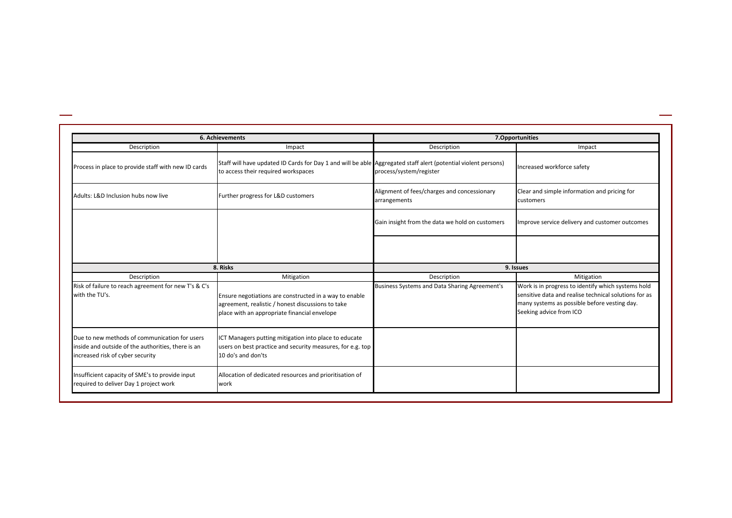|                                                                                                                                         | <b>6. Achievements</b>                                                                                                                                                    | 7.Opportunities                                              |                                                                                                                                                                                                      |  |  |
|-----------------------------------------------------------------------------------------------------------------------------------------|---------------------------------------------------------------------------------------------------------------------------------------------------------------------------|--------------------------------------------------------------|------------------------------------------------------------------------------------------------------------------------------------------------------------------------------------------------------|--|--|
| Description                                                                                                                             | Impact                                                                                                                                                                    | Description                                                  | Impact                                                                                                                                                                                               |  |  |
| Process in place to provide staff with new ID cards                                                                                     | Staff will have updated ID Cards for Day 1 and will be able Aggregated staff alert (potential violent persons)<br>to access their required workspaces                     | process/system/register                                      | Increased workforce safety                                                                                                                                                                           |  |  |
| Adults: L&D Inclusion hubs now live                                                                                                     | Further progress for L&D customers                                                                                                                                        | Alignment of fees/charges and concessionary<br>arrangements  | Clear and simple information and pricing for<br>customers                                                                                                                                            |  |  |
|                                                                                                                                         |                                                                                                                                                                           | Gain insight from the data we hold on customers              | Improve service delivery and customer outcomes                                                                                                                                                       |  |  |
|                                                                                                                                         |                                                                                                                                                                           |                                                              |                                                                                                                                                                                                      |  |  |
|                                                                                                                                         | 8. Risks                                                                                                                                                                  |                                                              | 9. Issues                                                                                                                                                                                            |  |  |
| Description<br>Risk of failure to reach agreement for new T's & C's<br>with the TU's.                                                   | Mitigation<br>Ensure negotiations are constructed in a way to enable<br>agreement, realistic / honest discussions to take<br>place with an appropriate financial envelope | Description<br>Business Systems and Data Sharing Agreement's | Mitigation<br>Work is in progress to identify which systems hold<br>sensitive data and realise technical solutions for as<br>many systems as possible before vesting day.<br>Seeking advice from ICO |  |  |
| Due to new methods of communication for users<br>inside and outside of the authorities, there is an<br>increased risk of cyber security | ICT Managers putting mitigation into place to educate<br>users on best practice and security measures, for e.g. top<br>10 do's and don'ts                                 |                                                              |                                                                                                                                                                                                      |  |  |
| Insufficient capacity of SME's to provide input<br>required to deliver Day 1 project work                                               | Allocation of dedicated resources and prioritisation of<br>work                                                                                                           |                                                              |                                                                                                                                                                                                      |  |  |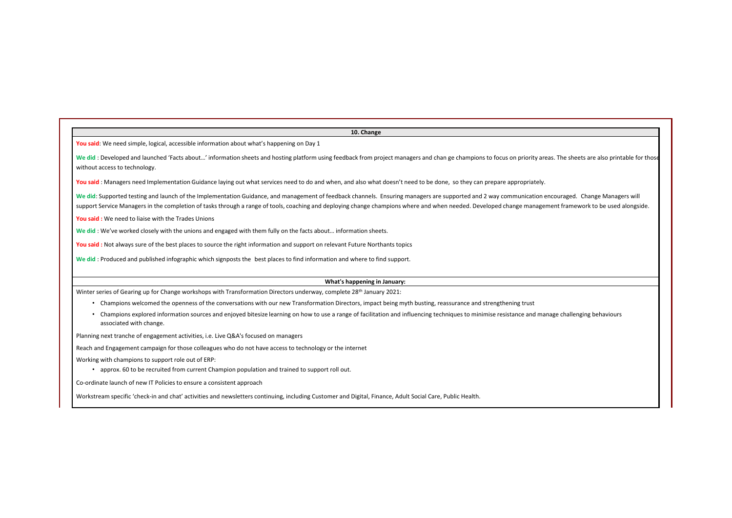|                                                                                           | 10. Change                                                                                                                                                                                                                                                                                                                                                                                                     |
|-------------------------------------------------------------------------------------------|----------------------------------------------------------------------------------------------------------------------------------------------------------------------------------------------------------------------------------------------------------------------------------------------------------------------------------------------------------------------------------------------------------------|
| You said: We need simple, logical, accessible information about what's happening on Day 1 |                                                                                                                                                                                                                                                                                                                                                                                                                |
| without access to technology.                                                             | We did : Developed and launched 'Facts about' information sheets and hosting platform using feedback from project managers and chan ge champions to focus on priority areas. The sheets are also printable for those                                                                                                                                                                                           |
|                                                                                           | You said: Managers need Implementation Guidance laying out what services need to do and when, and also what doesn't need to be done, so they can prepare appropriately.                                                                                                                                                                                                                                        |
|                                                                                           | We did: Supported testing and launch of the Implementation Guidance, and management of feedback channels. Ensuring managers are supported and 2 way communication encouraged. Change Managers will<br>support Service Managers in the completion of tasks through a range of tools, coaching and deploying change champions where and when needed. Developed change management framework to be used alongside. |
| You said: We need to liaise with the Trades Unions                                        |                                                                                                                                                                                                                                                                                                                                                                                                                |
|                                                                                           | We did: We've worked closely with the unions and engaged with them fully on the facts about information sheets.                                                                                                                                                                                                                                                                                                |
|                                                                                           | You said: Not always sure of the best places to source the right information and support on relevant Future Northants topics                                                                                                                                                                                                                                                                                   |
|                                                                                           | We did: Produced and published infographic which signposts the best places to find information and where to find support.                                                                                                                                                                                                                                                                                      |
|                                                                                           | What's happening in January:                                                                                                                                                                                                                                                                                                                                                                                   |
|                                                                                           | Winter series of Gearing up for Change workshops with Transformation Directors underway, complete 28 <sup>th</sup> January 2021:                                                                                                                                                                                                                                                                               |
|                                                                                           | • Champions welcomed the openness of the conversations with our new Transformation Directors, impact being myth busting, reassurance and strengthening trust                                                                                                                                                                                                                                                   |
| associated with change.                                                                   | • Champions explored information sources and enjoyed bitesize learning on how to use a range of facilitation and influencing techniques to minimise resistance and manage challenging behaviours                                                                                                                                                                                                               |
| Planning next tranche of engagement activities, i.e. Live Q&A's focused on managers       |                                                                                                                                                                                                                                                                                                                                                                                                                |
|                                                                                           | Reach and Engagement campaign for those colleagues who do not have access to technology or the internet                                                                                                                                                                                                                                                                                                        |
| Working with champions to support role out of ERP:                                        | • approx. 60 to be recruited from current Champion population and trained to support roll out.                                                                                                                                                                                                                                                                                                                 |
| Co-ordinate launch of new IT Policies to ensure a consistent approach                     |                                                                                                                                                                                                                                                                                                                                                                                                                |
|                                                                                           | Workstream specific 'check-in and chat' activities and newsletters continuing, including Customer and Digital, Finance, Adult Social Care, Public Health.                                                                                                                                                                                                                                                      |